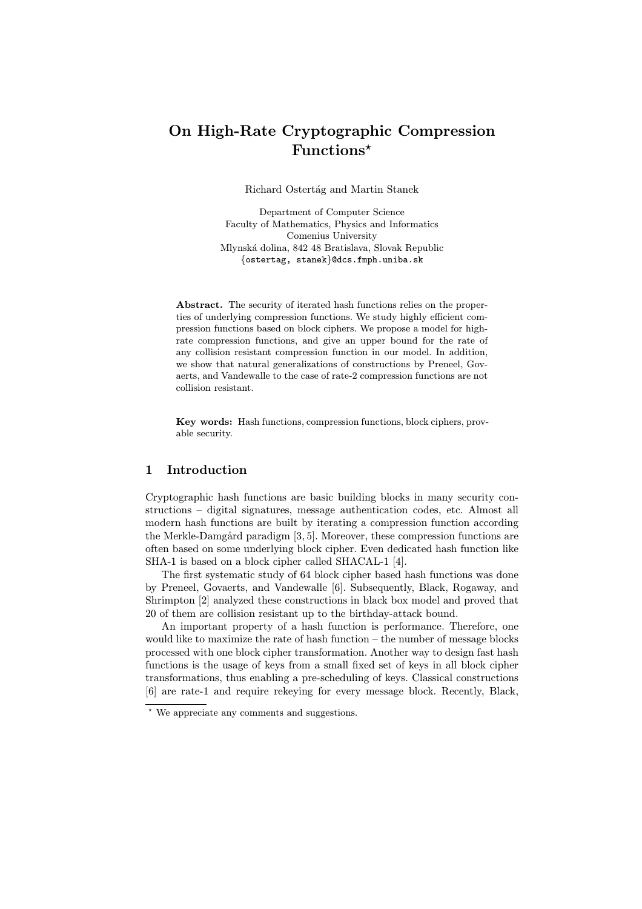# On High-Rate Cryptographic Compression Functions?

Richard Ostertág and Martin Stanek

Department of Computer Science Faculty of Mathematics, Physics and Informatics Comenius University Mlynsk´a dolina, 842 48 Bratislava, Slovak Republic {ostertag, stanek}@dcs.fmph.uniba.sk

Abstract. The security of iterated hash functions relies on the properties of underlying compression functions. We study highly efficient compression functions based on block ciphers. We propose a model for highrate compression functions, and give an upper bound for the rate of any collision resistant compression function in our model. In addition, we show that natural generalizations of constructions by Preneel, Govaerts, and Vandewalle to the case of rate-2 compression functions are not collision resistant.

Key words: Hash functions, compression functions, block ciphers, provable security.

## 1 Introduction

Cryptographic hash functions are basic building blocks in many security constructions – digital signatures, message authentication codes, etc. Almost all modern hash functions are built by iterating a compression function according the Merkle-Damgård paradigm  $[3, 5]$ . Moreover, these compression functions are often based on some underlying block cipher. Even dedicated hash function like SHA-1 is based on a block cipher called SHACAL-1 [4].

The first systematic study of 64 block cipher based hash functions was done by Preneel, Govaerts, and Vandewalle [6]. Subsequently, Black, Rogaway, and Shrimpton [2] analyzed these constructions in black box model and proved that 20 of them are collision resistant up to the birthday-attack bound.

An important property of a hash function is performance. Therefore, one would like to maximize the rate of hash function  $-$  the number of message blocks processed with one block cipher transformation. Another way to design fast hash functions is the usage of keys from a small fixed set of keys in all block cipher transformations, thus enabling a pre-scheduling of keys. Classical constructions [6] are rate-1 and require rekeying for every message block. Recently, Black,

<sup>?</sup> We appreciate any comments and suggestions.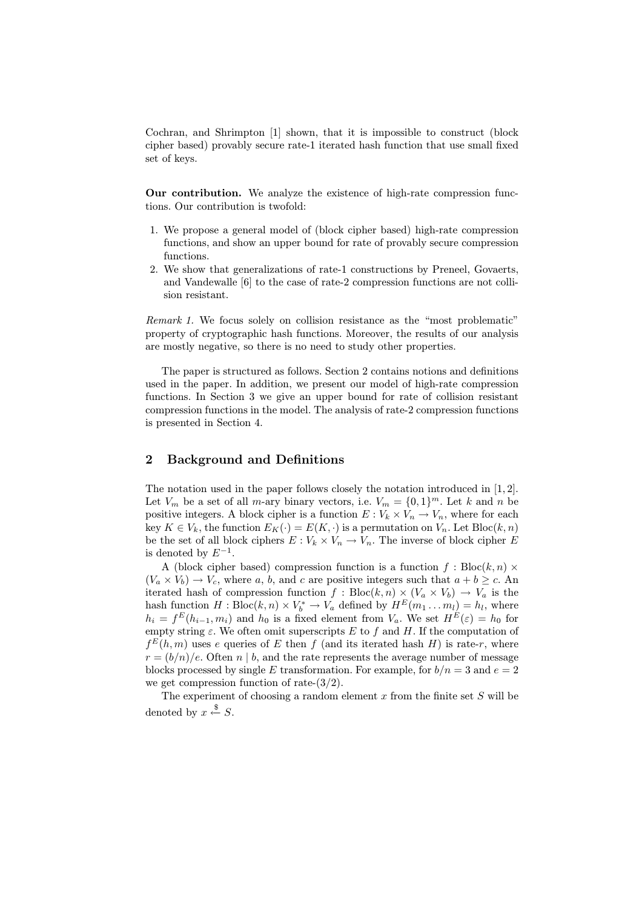Cochran, and Shrimpton [1] shown, that it is impossible to construct (block cipher based) provably secure rate-1 iterated hash function that use small fixed set of keys.

Our contribution. We analyze the existence of high-rate compression functions. Our contribution is twofold:

- 1. We propose a general model of (block cipher based) high-rate compression functions, and show an upper bound for rate of provably secure compression functions.
- 2. We show that generalizations of rate-1 constructions by Preneel, Govaerts, and Vandewalle [6] to the case of rate-2 compression functions are not collision resistant.

Remark 1. We focus solely on collision resistance as the "most problematic" property of cryptographic hash functions. Moreover, the results of our analysis are mostly negative, so there is no need to study other properties.

The paper is structured as follows. Section 2 contains notions and definitions used in the paper. In addition, we present our model of high-rate compression functions. In Section 3 we give an upper bound for rate of collision resistant compression functions in the model. The analysis of rate-2 compression functions is presented in Section 4.

## 2 Background and Definitions

The notation used in the paper follows closely the notation introduced in [1, 2]. Let  $V_m$  be a set of all *m*-ary binary vectors, i.e.  $V_m = \{0, 1\}^m$ . Let k and n be positive integers. A block cipher is a function  $E: V_k \times V_n \to V_n$ , where for each key  $K \in V_k$ , the function  $E_K(\cdot) = E(K, \cdot)$  is a permutation on  $V_n$ . Let  $Bloc(k, n)$ be the set of all block ciphers  $E: V_k \times V_n \to V_n$ . The inverse of block cipher E is denoted by  $E^{-1}$ .

A (block cipher based) compression function is a function  $f : Block(n) \times$  $(V_a \times V_b) \rightarrow V_c$ , where a, b, and c are positive integers such that  $a + b \geq c$ . An iterated hash of compression function  $f : Block, n) \times (V_a \times V_b) \rightarrow V_a$  is the hash function  $H : \text{Bloc}(k, n) \times V_b^* \to V_a$  defined by  $H^E(m_1 \dots m_l) = h_l$ , where  $h_i = f^E(h_{i-1}, m_i)$  and  $h_0$  is a fixed element from  $V_a$ . We set  $H^E(\varepsilon) = h_0$  for empty string  $\varepsilon$ . We often omit superscripts E to f and H. If the computation of  $f^{E}(h,m)$  uses e queries of E then f (and its iterated hash H) is rate-r, where  $r = (b/n)/e$ . Often n | b, and the rate represents the average number of message blocks processed by single E transformation. For example, for  $b/n = 3$  and  $e = 2$ we get compression function of rate- $(3/2)$ .

The experiment of choosing a random element  $x$  from the finite set  $S$  will be denoted by  $x \stackrel{\$}{\leftarrow} S$ .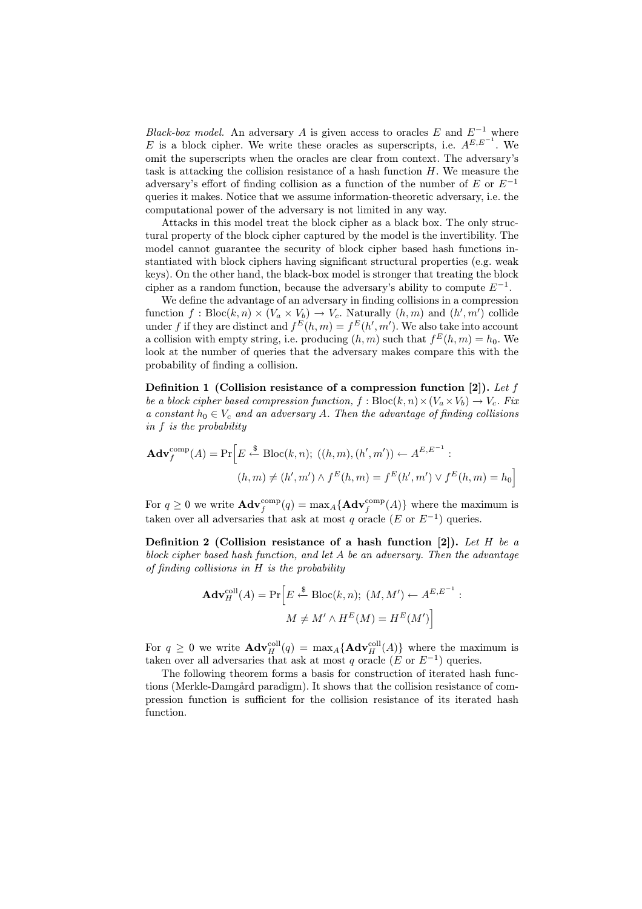Black-box model. An adversary A is given access to oracles E and  $E^{-1}$  where E is a block cipher. We write these oracles as superscripts, i.e.  $A^{E,E^{-1}}$ . We omit the superscripts when the oracles are clear from context. The adversary's task is attacking the collision resistance of a hash function  $H$ . We measure the adversary's effort of finding collision as a function of the number of E or  $E^{-1}$ queries it makes. Notice that we assume information-theoretic adversary, i.e. the computational power of the adversary is not limited in any way.

Attacks in this model treat the block cipher as a black box. The only structural property of the block cipher captured by the model is the invertibility. The model cannot guarantee the security of block cipher based hash functions instantiated with block ciphers having significant structural properties (e.g. weak keys). On the other hand, the black-box model is stronger that treating the block cipher as a random function, because the adversary's ability to compute  $E^{-1}$ .

We define the advantage of an adversary in finding collisions in a compression function  $f : \text{Bloc}(k, n) \times (V_a \times V_b) \rightarrow V_c$ . Naturally  $(h, m)$  and  $(h', m')$  collide under f if they are distinct and  $f^{E}(h, m) = f^{E}(h', m')$ . We also take into account a collision with empty string, i.e. producing  $(h, m)$  such that  $f^{E}(h, m) = h_0$ . We look at the number of queries that the adversary makes compare this with the probability of finding a collision.

Definition 1 (Collision resistance of a compression function [2]). Let  $f$ be a block cipher based compression function,  $f : \text{Bloc}(k, n) \times (V_a \times V_b) \to V_c$ . Fix a constant  $h_0 \in V_c$  and an adversary A. Then the advantage of finding collisions in f is the probability

$$
\mathbf{Adv}_{f}^{\text{comp}}(A) = \Pr\Big[E \stackrel{\$}{\leftarrow} \text{Block}(k, n); ((h, m), (h', m')) \leftarrow A^{E, E^{-1}} :(h, m) \neq (h', m') \land f^{E}(h, m) = f^{E}(h', m') \lor f^{E}(h, m) = h_{0}\Big]
$$

For  $q \ge 0$  we write  $\mathbf{Adv}^{\text{comp}}_f(q) = \max_A \{ \mathbf{Adv}^{\text{comp}}_f(A) \}$  where the maximum is taken over all adversaries that ask at most q oracle (E or  $E^{-1}$ ) queries.

Definition 2 (Collision resistance of a hash function [2]). Let H be a block cipher based hash function, and let A be an adversary. Then the advantage of finding collisions in H is the probability

$$
\mathbf{Adv}_{H}^{\text{coll}}(A) = \Pr\Big[E \stackrel{\$}{\leftarrow} \text{Bloc}(k, n); (M, M') \leftarrow A^{E, E^{-1}} :
$$

$$
M \neq M' \wedge H^{E}(M) = H^{E}(M')\Big]
$$

For  $q \geq 0$  we write  $\mathbf{Adv}_{H}^{coll}(q) = \max_{A} {\mathbf{Adv}_{H}^{coll}(A)}$  where the maximum is taken over all adversaries that ask at most q oracle ( $E$  or  $E^{-1}$ ) queries.

The following theorem forms a basis for construction of iterated hash functions (Merkle-Damgård paradigm). It shows that the collision resistance of compression function is sufficient for the collision resistance of its iterated hash function.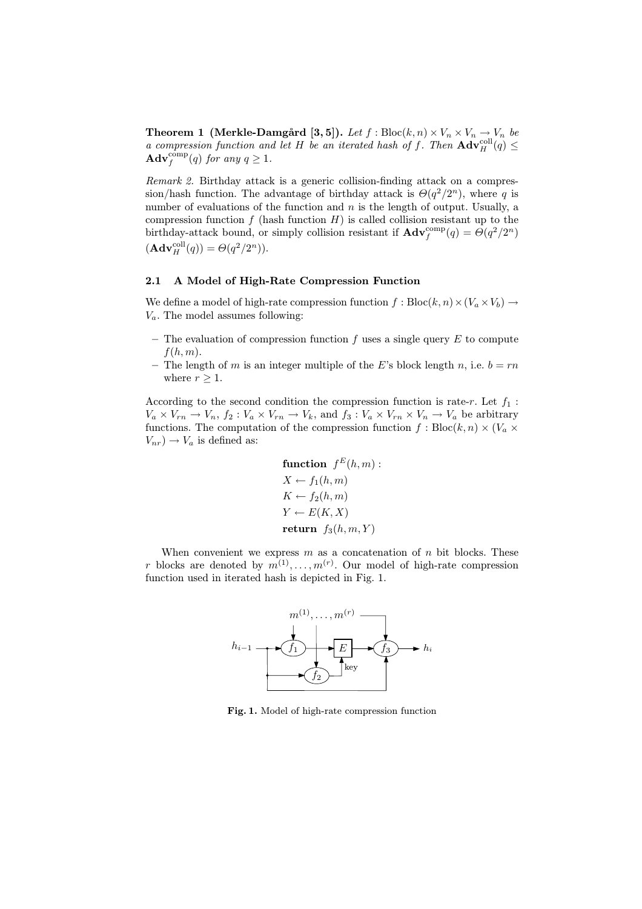**Theorem 1 (Merkle-Damgård [3,5]).** Let  $f : \text{Block}(k, n) \times V_n \times V_n \rightarrow V_n$  be a compression function and let H be an iterated hash of f. Then  $\mathbf{Adv}_{H}^{\text{coll}}(q) \leq$  $\mathbf{Adv}_{f}^{comp}(q)$  for any  $q \geq 1$ .

Remark 2. Birthday attack is a generic collision-finding attack on a compression/hash function. The advantage of birthday attack is  $\Theta(q^2/2^n)$ , where q is number of evaluations of the function and  $n$  is the length of output. Usually, a compression function  $f$  (hash function  $H$ ) is called collision resistant up to the birthday-attack bound, or simply collision resistant if  $\mathbf{Adv}_{f}^{\text{comp}}(q) = \Theta(q^2/2^n)$  $(\mathbf{Adv}_{H}^{\text{coll}}(q)) = \Theta(q^2/2^n)).$ 

#### 2.1 A Model of High-Rate Compression Function

We define a model of high-rate compression function  $f : Block(n) \times (V_a \times V_b) \rightarrow$  $V_a$ . The model assumes following:

- The evaluation of compression function f uses a single query  $E$  to compute  $f(h, m)$ .
- The length of m is an integer multiple of the E's block length n, i.e.  $b = rn$ where  $r \geq 1$ .

According to the second condition the compression function is rate-r. Let  $f_1$ :  $V_a \times V_{rn} \to V_n$ ,  $f_2: V_a \times V_{rn} \to V_k$ , and  $f_3: V_a \times V_{rn} \times V_n \to V_a$  be arbitrary functions. The computation of the compression function  $f : Block, n) \times (V_a \times V_a)$  $V_{nr}$ )  $\rightarrow$   $V_a$  is defined as:

function 
$$
f^E(h, m)
$$
:  
\n $X \leftarrow f_1(h, m)$   
\n $K \leftarrow f_2(h, m)$   
\n $Y \leftarrow E(K, X)$   
\nreturn  $f_3(h, m, Y)$ 

When convenient we express  $m$  as a concatenation of  $n$  bit blocks. These r blocks are denoted by  $m^{(1)}, \ldots, m^{(r)}$ . Our model of high-rate compression function used in iterated hash is depicted in Fig. 1.



Fig. 1. Model of high-rate compression function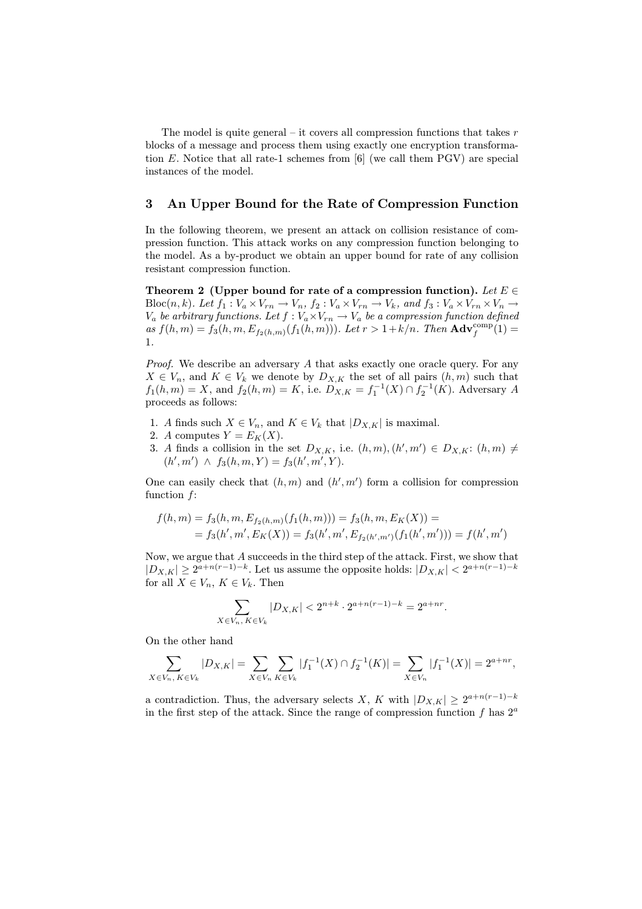The model is quite general – it covers all compression functions that takes  $r$ blocks of a message and process them using exactly one encryption transformation  $E$ . Notice that all rate-1 schemes from [6] (we call them PGV) are special instances of the model.

## 3 An Upper Bound for the Rate of Compression Function

In the following theorem, we present an attack on collision resistance of compression function. This attack works on any compression function belonging to the model. As a by-product we obtain an upper bound for rate of any collision resistant compression function.

Theorem 2 (Upper bound for rate of a compression function). Let  $E \in \mathcal{E}$ Bloc $(n, k)$ . Let  $f_1 : V_a \times V_{rn} \to V_n$ ,  $f_2 : V_a \times V_{rn} \to V_k$ , and  $f_3 : V_a \times V_{rn} \times V_n \to V_k$  $V_a$  be arbitrary functions. Let  $f: V_a \times V_{rn} \to V_a$  be a compression function defined as  $f(h,m) = f_3(h,m, E_{f_2(h,m)}(f_1(h,m)))$ . Let  $r > 1 + k/n$ . Then  $\text{Adv}_{f}^{\text{comp}}(1) =$ 1.

Proof. We describe an adversary A that asks exactly one oracle query. For any  $X \in V_n$ , and  $K \in V_k$  we denote by  $D_{X,K}$  the set of all pairs  $(h,m)$  such that  $f_1(h,m) = X$ , and  $f_2(h,m) = K$ , i.e.  $D_{X,K} = f_1^{-1}(X) \cap f_2^{-1}(K)$ . Adversary A proceeds as follows:

- 1. A finds such  $X \in V_n$ , and  $K \in V_k$  that  $|D_{X,K}|$  is maximal.
- 2. A computes  $Y = E_K(X)$ .
- 3. A finds a collision in the set  $D_{X,K}$ , i.e.  $(h,m),(h',m') \in D_{X,K}$ :  $(h,m) \neq$  $(h', m') \wedge f_3(h, m, Y) = f_3(h', m', Y).$

One can easily check that  $(h, m)$  and  $(h', m')$  form a collision for compression function  $f$ :

$$
f(h,m) = f_3(h,m, E_{f_2(h,m)}(f_1(h,m))) = f_3(h,m, E_K(X)) =
$$
  
=  $f_3(h',m', E_K(X)) = f_3(h',m', E_{f_2(h',m')}(f_1(h',m'))) = f(h',m')$ 

Now, we argue that A succeeds in the third step of the attack. First, we show that  $|D_{X,K}| \geq 2^{a+n(r-1)-k}$ . Let us assume the opposite holds:  $|D_{X,K}| < 2^{a+n(r-1)-k}$ for all  $X \in V_n$ ,  $K \in V_k$ . Then

$$
\sum_{X \in V_n, K \in V_k} |D_{X,K}| < 2^{n+k} \cdot 2^{a+n(r-1)-k} = 2^{a+nr}.
$$

On the other hand

$$
\sum_{X \in V_n, K \in V_k} |D_{X,K}| = \sum_{X \in V_n} \sum_{K \in V_k} |f_1^{-1}(X) \cap f_2^{-1}(K)| = \sum_{X \in V_n} |f_1^{-1}(X)| = 2^{a + nr},
$$

a contradiction. Thus, the adversary selects X, K with  $|D_{X,K}| \geq 2^{a+n(r-1)-k}$ in the first step of the attack. Since the range of compression function  $f$  has  $2^a$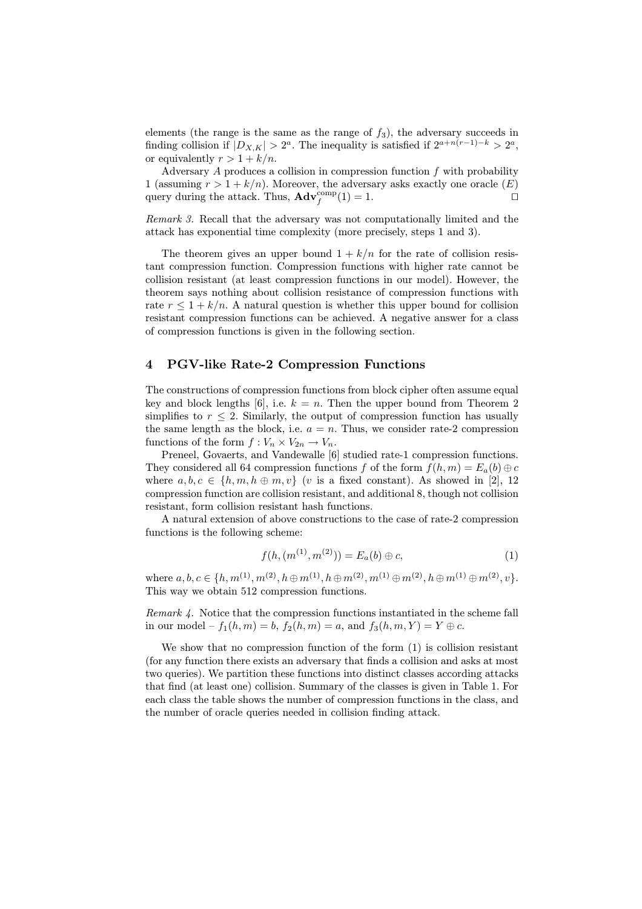elements (the range is the same as the range of  $f_3$ ), the adversary succeeds in finding collision if  $|D_{X,K}| > 2^a$ . The inequality is satisfied if  $2^{a+n(r-1)-k} > 2^a$ , or equivalently  $r > 1 + k/n$ .

Adversary  $A$  produces a collision in compression function  $f$  with probability 1 (assuming  $r > 1 + k/n$ ). Moreover, the adversary asks exactly one oracle  $(E)$ query during the attack. Thus,  $\mathbf{Adv}_{f}^{\text{comp}}(1) = 1.$ 

Remark 3. Recall that the adversary was not computationally limited and the attack has exponential time complexity (more precisely, steps 1 and 3).

The theorem gives an upper bound  $1 + k/n$  for the rate of collision resistant compression function. Compression functions with higher rate cannot be collision resistant (at least compression functions in our model). However, the theorem says nothing about collision resistance of compression functions with rate  $r \leq 1 + k/n$ . A natural question is whether this upper bound for collision resistant compression functions can be achieved. A negative answer for a class of compression functions is given in the following section.

## 4 PGV-like Rate-2 Compression Functions

The constructions of compression functions from block cipher often assume equal key and block lengths [6], i.e.  $k = n$ . Then the upper bound from Theorem 2 simplifies to  $r \leq 2$ . Similarly, the output of compression function has usually the same length as the block, i.e.  $a = n$ . Thus, we consider rate-2 compression functions of the form  $f: V_n \times V_{2n} \to V_n$ .

Preneel, Govaerts, and Vandewalle [6] studied rate-1 compression functions. They considered all 64 compression functions f of the form  $f(h, m) = E_a(b) \oplus c$ where  $a, b, c \in \{h, m, h \oplus m, v\}$  (v is a fixed constant). As showed in [2], 12 compression function are collision resistant, and additional 8, though not collision resistant, form collision resistant hash functions.

A natural extension of above constructions to the case of rate-2 compression functions is the following scheme:

$$
f(h, (m^{(1)}, m^{(2)})) = E_a(b) \oplus c,\tag{1}
$$

where  $a, b, c \in \{h, m^{(1)}, m^{(2)}, h \oplus m^{(1)}, h \oplus m^{(2)}, m^{(1)} \oplus m^{(2)}, h \oplus m^{(1)} \oplus m^{(2)}, v\}.$ This way we obtain 512 compression functions.

Remark 4. Notice that the compression functions instantiated in the scheme fall in our model –  $f_1(h, m) = b$ ,  $f_2(h, m) = a$ , and  $f_3(h, m, Y) = Y \oplus c$ .

We show that no compression function of the form  $(1)$  is collision resistant (for any function there exists an adversary that finds a collision and asks at most two queries). We partition these functions into distinct classes according attacks that find (at least one) collision. Summary of the classes is given in Table 1. For each class the table shows the number of compression functions in the class, and the number of oracle queries needed in collision finding attack.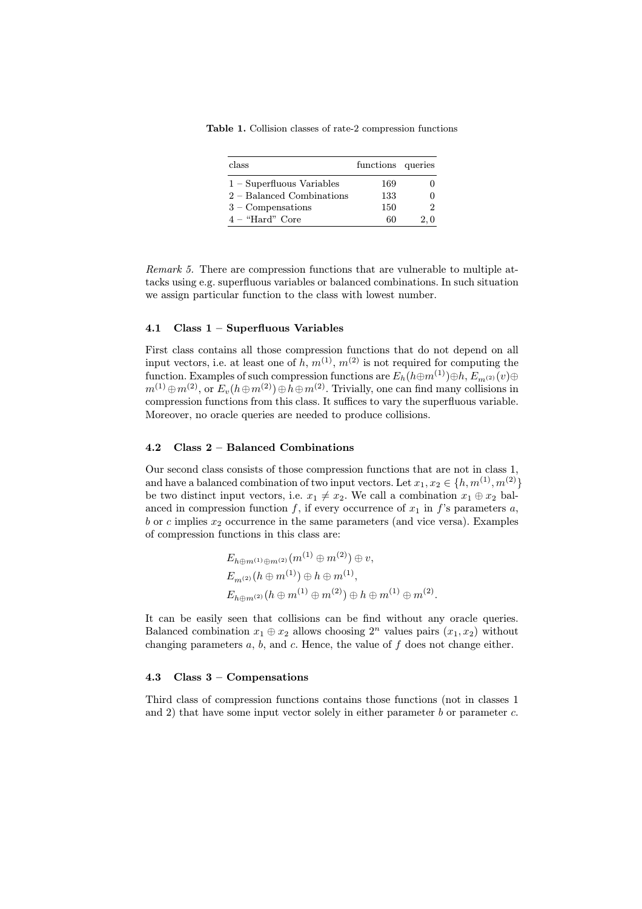Table 1. Collision classes of rate-2 compression functions

| class                       | functions queries |     |
|-----------------------------|-------------------|-----|
| $1 -$ Superfluous Variables | 169               |     |
| $2 -$ Balanced Combinations | 133               |     |
| $3 -$ Compensations         | 150               |     |
| $4 - "Hard"$ Core           | 60                | 2,0 |

Remark 5. There are compression functions that are vulnerable to multiple attacks using e.g. superfluous variables or balanced combinations. In such situation we assign particular function to the class with lowest number.

#### 4.1 Class 1 – Superfluous Variables

First class contains all those compression functions that do not depend on all input vectors, i.e. at least one of h,  $m^{(1)}$ ,  $m^{(2)}$  is not required for computing the function. Examples of such compression functions are  $E_h(h \oplus m^{(1)}) \oplus h, E_{m^{(2)}}(v) \oplus$  $m^{(1)} \oplus m^{(2)}$ , or  $E_v(h \oplus m^{(2)}) \oplus h \oplus m^{(2)}$ . Trivially, one can find many collisions in compression functions from this class. It suffices to vary the superfluous variable. Moreover, no oracle queries are needed to produce collisions.

#### 4.2 Class 2 – Balanced Combinations

Our second class consists of those compression functions that are not in class 1, and have a balanced combination of two input vectors. Let  $x_1, x_2 \in \{h, m^{(1)}, m^{(2)}\}$ be two distinct input vectors, i.e.  $x_1 \neq x_2$ . We call a combination  $x_1 \oplus x_2$  balanced in compression function f, if every occurrence of  $x_1$  in f's parameters a, b or c implies  $x_2$  occurrence in the same parameters (and vice versa). Examples of compression functions in this class are:

$$
E_{h \oplus m^{(1)} \oplus m^{(2)}}(m^{(1)} \oplus m^{(2)}) \oplus v,
$$
  
\n
$$
E_{m^{(2)}}(h \oplus m^{(1)}) \oplus h \oplus m^{(1)},
$$
  
\n
$$
E_{h \oplus m^{(2)}}(h \oplus m^{(1)} \oplus m^{(2)}) \oplus h \oplus m^{(1)} \oplus m^{(2)}.
$$

It can be easily seen that collisions can be find without any oracle queries. Balanced combination  $x_1 \oplus x_2$  allows choosing  $2^n$  values pairs  $(x_1, x_2)$  without changing parameters  $a, b$ , and  $c$ . Hence, the value of  $f$  does not change either.

#### 4.3 Class 3 – Compensations

Third class of compression functions contains those functions (not in classes 1 and 2) that have some input vector solely in either parameter  $b$  or parameter  $c$ .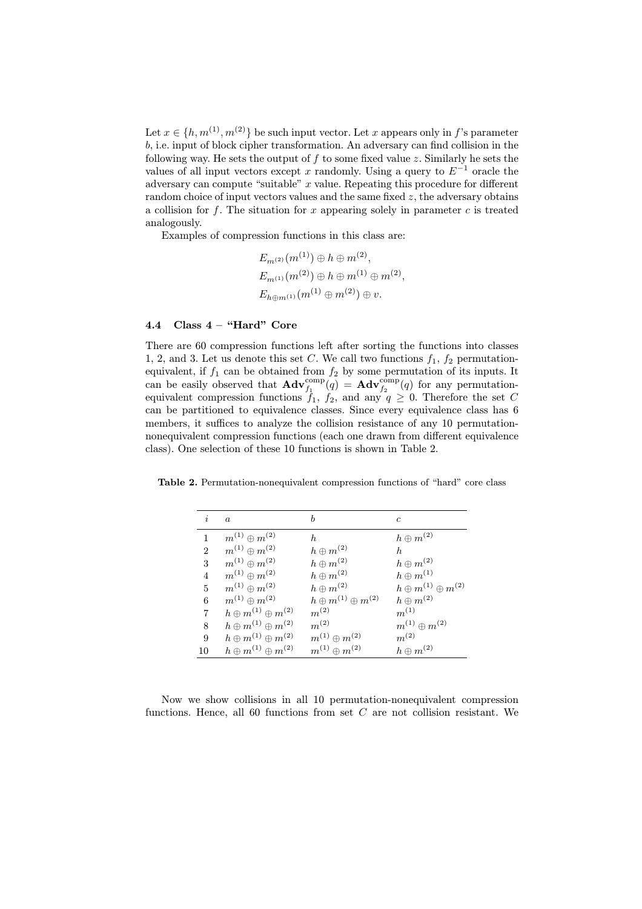Let  $x \in \{h, m^{(1)}, m^{(2)}\}$  be such input vector. Let x appears only in f's parameter b, i.e. input of block cipher transformation. An adversary can find collision in the following way. He sets the output of  $f$  to some fixed value  $z$ . Similarly he sets the values of all input vectors except x randomly. Using a query to  $E^{-1}$  oracle the adversary can compute "suitable"  $x$  value. Repeating this procedure for different random choice of input vectors values and the same fixed  $z$ , the adversary obtains a collision for  $f$ . The situation for  $x$  appearing solely in parameter  $c$  is treated analogously.

Examples of compression functions in this class are:

$$
E_{m^{(2)}}(m^{(1)}) \oplus h \oplus m^{(2)},
$$
  
\n
$$
E_{m^{(1)}}(m^{(2)}) \oplus h \oplus m^{(1)} \oplus m^{(2)},
$$
  
\n
$$
E_{h \oplus m^{(1)}}(m^{(1)} \oplus m^{(2)}) \oplus v.
$$

## 4.4 Class  $4 -$  "Hard" Core

There are 60 compression functions left after sorting the functions into classes 1, 2, and 3. Let us denote this set C. We call two functions  $f_1$ ,  $f_2$  permutationequivalent, if  $f_1$  can be obtained from  $f_2$  by some permutation of its inputs. It can be easily observed that  $\mathbf{Adv}_{f_1}^{\text{comp}}(q) = \mathbf{Adv}_{f_2}^{\text{comp}}(q)$  for any permutationequivalent compression functions  $f_1$ ,  $f_2$ , and any  $q \geq 0$ . Therefore the set C can be partitioned to equivalence classes. Since every equivalence class has 6 members, it suffices to analyze the collision resistance of any 10 permutationnonequivalent compression functions (each one drawn from different equivalence class). One selection of these 10 functions is shown in Table 2.

Table 2. Permutation-nonequivalent compression functions of "hard" core class

| $\dot{i}$      | $\alpha$                          | b                                 | $\epsilon$                      |
|----------------|-----------------------------------|-----------------------------------|---------------------------------|
|                |                                   |                                   |                                 |
|                | $m^{(1)} \oplus m^{(2)}$          | h.                                | $h \oplus m^{(2)}$              |
| $\overline{2}$ | $m^{(1)} \oplus m^{(2)}$          | $h \oplus m^{(2)}$                | h.                              |
| 3              | $m^{(1)} \oplus m^{(2)}$          | $h \oplus m^{(2)}$                | $h \oplus m^{(2)}$              |
| 4              | $m^{(1)} \oplus m^{(2)}$          | $h \oplus m^{(2)}$                | $h \oplus m^{(1)}$              |
| 5              | $m^{(1)} \oplus m^{(2)}$          | $h \oplus m^{(2)}$                | $h\oplus m^{(1)}\oplus m^{(2)}$ |
| 6              | $m^{(1)} \oplus m^{(2)}$          | $h \oplus m^{(1)} \oplus m^{(2)}$ | $h \oplus m^{(2)}$              |
| 7              | $h\oplus m^{(1)}\oplus m^{(2)}$   | $m^{(2)}$                         | $m^{(1)}$                       |
| 8              | $h\oplus m^{(1)}\oplus m^{(2)}$   | $m^{(2)}$                         | $m^{(1)} \oplus m^{(2)}$        |
| 9              | $h\oplus m^{(1)}\oplus m^{(2)}$   | $m^{(1)} \oplus m^{(2)}$          | $m^{(2)}$                       |
| 10             | $h \oplus m^{(1)} \oplus m^{(2)}$ | $m^{(1)}\oplus m^{(2)}$           | $h \oplus m^{(2)}$              |

Now we show collisions in all 10 permutation-nonequivalent compression functions. Hence, all 60 functions from set  $C$  are not collision resistant. We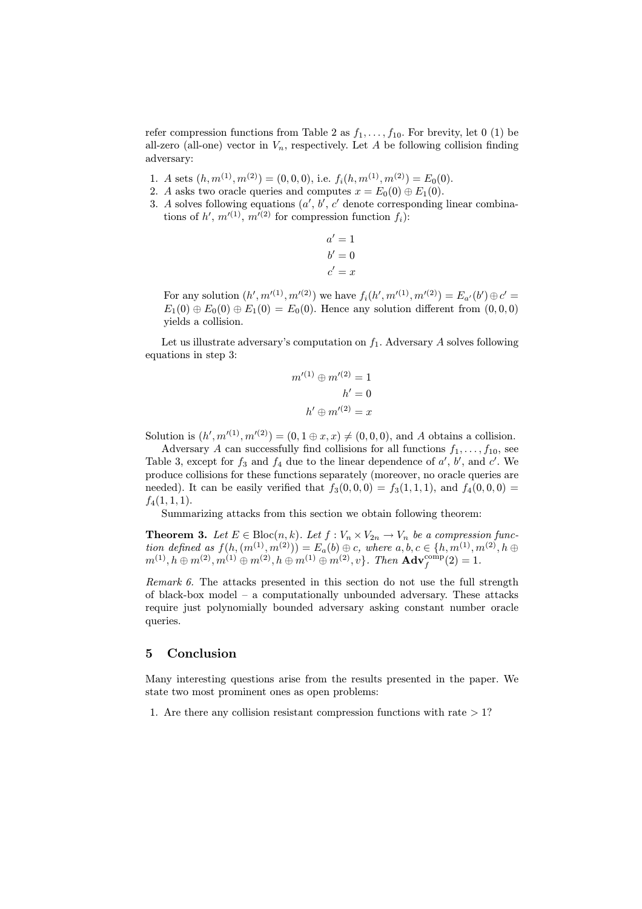refer compression functions from Table 2 as  $f_1, \ldots, f_{10}$ . For brevity, let 0 (1) be all-zero (all-one) vector in  $V_n$ , respectively. Let A be following collision finding adversary:

- 1. A sets  $(h, m^{(1)}, m^{(2)}) = (0, 0, 0),$  i.e.  $f_i(h, m^{(1)}, m^{(2)}) = E_0(0)$ .
- 2. A asks two oracle queries and computes  $x = E_0(0) \oplus E_1(0)$ .
- 3. A solves following equations  $(a', b', c'$  denote corresponding linear combinations of  $h'$ ,  $m'(1)$ ,  $m'(2)$  for compression function  $f_i$ ):

$$
a' = 1
$$

$$
b' = 0
$$

$$
c' = x
$$

For any solution  $(h', m'^{(1)}, m'^{(2)})$  we have  $f_i(h', m'^{(1)}, m'^{(2)}) = E_{a'}(b') \oplus c'$  $E_1(0) \oplus E_0(0) \oplus E_1(0) = E_0(0)$ . Hence any solution different from  $(0,0,0)$ yields a collision.

Let us illustrate adversary's computation on  $f_1$ . Adversary A solves following equations in step 3:

$$
m'^{(1)} \oplus m'^{(2)} = 1
$$

$$
h' = 0
$$

$$
h' \oplus m'^{(2)} = x
$$

Solution is  $(h', m'^{(1)}, m'^{(2)}) = (0, 1 \oplus x, x) \neq (0, 0, 0)$ , and A obtains a collision.

Adversary A can successfully find collisions for all functions  $f_1, \ldots, f_{10}$ , see Table 3, except for  $f_3$  and  $f_4$  due to the linear dependence of  $a'$ ,  $b'$ , and  $c'$ . We produce collisions for these functions separately (moreover, no oracle queries are needed). It can be easily verified that  $f_3(0, 0, 0) = f_3(1, 1, 1)$ , and  $f_4(0, 0, 0) =$  $f_4(1,1,1).$ 

Summarizing attacks from this section we obtain following theorem:

**Theorem 3.** Let  $E \in \text{Bloc}(n, k)$ . Let  $f: V_n \times V_{2n} \to V_n$  be a compression function defined as  $f(h,(m^{(1)},m^{(2)})) = E_a(b) \oplus c$ , where  $a, b, c \in \{h, m^{(1)}, m^{(2)}, h \oplus c\}$  $m^{(1)}, h \oplus m^{(2)}, m^{(1)} \oplus m^{(2)}, h \oplus m^{(1)} \oplus m^{(2)}, v\}$ . Then  $\mathbf{Adv}^{\text{comp}}_f(2) = 1$ .

Remark 6. The attacks presented in this section do not use the full strength of black-box model – a computationally unbounded adversary. These attacks require just polynomially bounded adversary asking constant number oracle queries.

#### 5 Conclusion

Many interesting questions arise from the results presented in the paper. We state two most prominent ones as open problems:

1. Are there any collision resistant compression functions with rate  $> 1$ ?